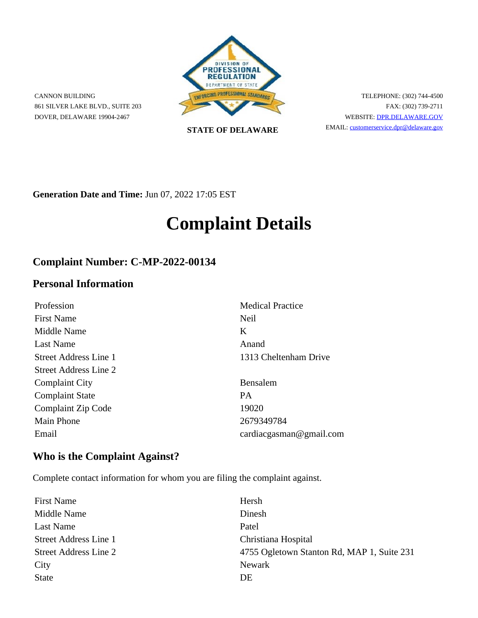

CANNON BUILDING 861 SILVER LAKE BLVD., SUITE 203 DOVER, DELAWARE 19904-2467

**STATE OF DELAWARE**

TELEPHONE: (302) 744-4500 FAX: (302) 739-2711 WEBSITE: [DPR.DELAWARE.GOV](https://dpr.delaware.gov/) EMAIL: customerservice.dpr@delaware.gov

**Generation Date and Time:** Jun 07, 2022 17:05 EST

# **Complaint Details**

# **Complaint Number: C-MP-2022-00134**

### **Personal Information**

| Profession             | <b>Medical Practice</b>           |
|------------------------|-----------------------------------|
| <b>First Name</b>      | Neil                              |
| Middle Name            | K                                 |
| Last Name              | Anand                             |
| Street Address Line 1  | 1313 Cheltenham Drive             |
| Street Address Line 2  |                                   |
| <b>Complaint City</b>  | Bensalem                          |
| <b>Complaint State</b> | <b>PA</b>                         |
| Complaint Zip Code     | 19020                             |
| <b>Main Phone</b>      | 2679349784                        |
| Email                  | $cardi\text{ac}$ gasman@gmail.com |

# **Who is the Complaint Against?**

Complete contact information for whom you are filing the complaint against.

| <b>First Name</b>     | Hersh                                      |
|-----------------------|--------------------------------------------|
| Middle Name           | Dinesh                                     |
| Last Name             | Patel                                      |
| Street Address Line 1 | Christiana Hospital                        |
| Street Address Line 2 | 4755 Ogletown Stanton Rd, MAP 1, Suite 231 |
| City                  | Newark                                     |
| <b>State</b>          | DE                                         |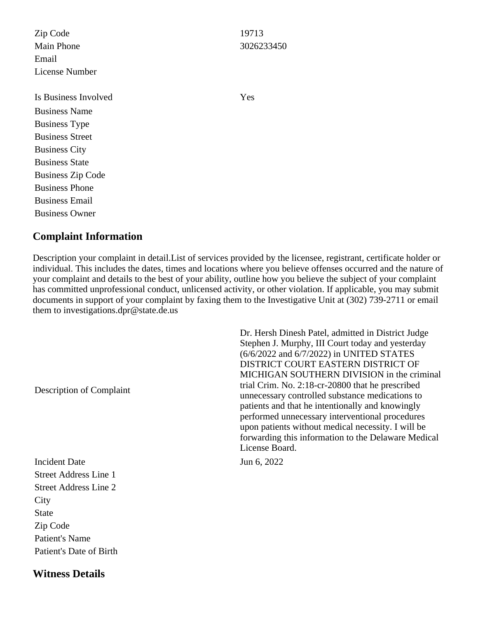Zip Code 19713 Main Phone 3026233450 Email License Number

Is Business Involved Yes Business Name Business Type Business Street Business City Business State Business Zip Code Business Phone Business Email Business Owner

#### **Complaint Information**

Description your complaint in detail.List of services provided by the licensee, registrant, certificate holder or individual. This includes the dates, times and locations where you believe offenses occurred and the nature of your complaint and details to the best of your ability, outline how you believe the subject of your complaint has committed unprofessional conduct, unlicensed activity, or other violation. If applicable, you may submit documents in support of your complaint by faxing them to the Investigative Unit at (302) 739-2711 or email them to investigations.dpr@state.de.us

Description of Complaint

Incident Date Jun 6, 2022 Street Address Line 1 Street Address Line 2 **City** State Zip Code Patient's Name Patient's Date of Birth

**Witness Details**

Dr. Hersh Dinesh Patel, admitted in District Judge Stephen J. Murphy, III Court today and yesterday (6/6/2022 and 6/7/2022) in UNITED STATES DISTRICT COURT EASTERN DISTRICT OF MICHIGAN SOUTHERN DIVISION in the criminal trial Crim. No. 2:18-cr-20800 that he prescribed unnecessary controlled substance medications to patients and that he intentionally and knowingly performed unnecessary interventional procedures upon patients without medical necessity. I will be forwarding this information to the Delaware Medical License Board.